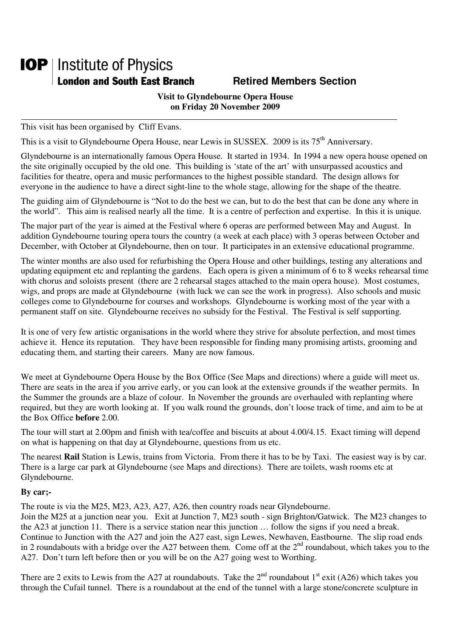## **IOP** | Institute of Physics **London and South East Branch Fighter Section Retired Members Section**

### **Visit to Glyndebourne Opera House on Friday 20 November 2009**

This visit has been organised by Cliff Evans.

This is a visit to Glyndebourne Opera House, near Lewis in SUSSEX. 2009 is its 75<sup>th</sup> Anniversary.

Glyndebourne is an internationally famous Opera House. It started in 1934. In 1994 a new opera house opened on the site originally occupied by the old one. This building is 'state of the art' with unsurpassed acoustics and facilities for theatre, opera and music performances to the highest possible standard. The design allows for everyone in the audience to have a direct sight-line to the whole stage, allowing for the shape of the theatre.

The guiding aim of Glyndebourne is "Not to do the best we can, but to do the best that can be done any where in the world". This aim is realised nearly all the time. It is a centre of perfection and expertise. In this it is unique.

The major part of the year is aimed at the Festival where 6 operas are performed between May and August. In addition Gyndebourne touring opera tours the country (a week at each place) with 3 operas between October and December, with October at Glyndebourne, then on tour. It participates in an extensive educational programme.

The winter months are also used for refurbishing the Opera House and other buildings, testing any alterations and updating equipment etc and replanting the gardens. Each opera is given a minimum of 6 to 8 weeks rehearsal time with chorus and soloists present (there are 2 rehearsal stages attached to the main opera house). Most costumes, wigs, and props are made at Glyndebourne (with luck we can see the work in progress). Also schools and music colleges come to Glyndebourne for courses and workshops. Glyndebourne is working most of the year with a permanent staff on site. Glyndebourne receives no subsidy for the Festival. The Festival is self supporting.

It is one of very few artistic organisations in the world where they strive for absolute perfection, and most times achieve it. Hence its reputation. They have been responsible for finding many promising artists, grooming and educating them, and starting their careers. Many are now famous.

We meet at Gyndebourne Opera House by the Box Office (See Maps and directions) where a guide will meet us. There are seats in the area if you arrive early, or you can look at the extensive grounds if the weather permits. In the Summer the grounds are a blaze of colour. In November the grounds are overhauled with replanting where required, but they are worth looking at. If you walk round the grounds, don't loose track of time, and aim to be at the Box Office **before** 2.00.

The tour will start at 2.00pm and finish with tea/coffee and biscuits at about 4.00/4.15. Exact timing will depend on what is happening on that day at Glyndebourne, questions from us etc.

The nearest **Rail** Station is Lewis, trains from Victoria. From there it has to be by Taxi. The easiest way is by car. There is a large car park at Glyndebourne (see Maps and directions). There are toilets, wash rooms etc at Glyndebourne.

#### **By car;-**

The route is via the M25, M23, A23, A27, A26, then country roads near Glyndebourne.

Join the M25 at a junction near you. Exit at Junction 7, M23 south - sign Brighton/Gatwick. The M23 changes to the A23 at junction 11. There is a service station near this junction … follow the signs if you need a break. Continue to Junction with the A27 and join the A27 east, sign Lewes, Newhaven, Eastbourne. The slip road ends in 2 roundabouts with a bridge over the A27 between them. Come off at the  $2<sup>nd</sup>$  roundabout, which takes you to the A27. Don't turn left before then or you will be on the A27 going west to Worthing.

There are 2 exits to Lewis from the A27 at roundabouts. Take the  $2<sup>nd</sup>$  roundabout  $1<sup>st</sup>$  exit (A26) which takes you through the Cufail tunnel. There is a roundabout at the end of the tunnel with a large stone/concrete sculpture in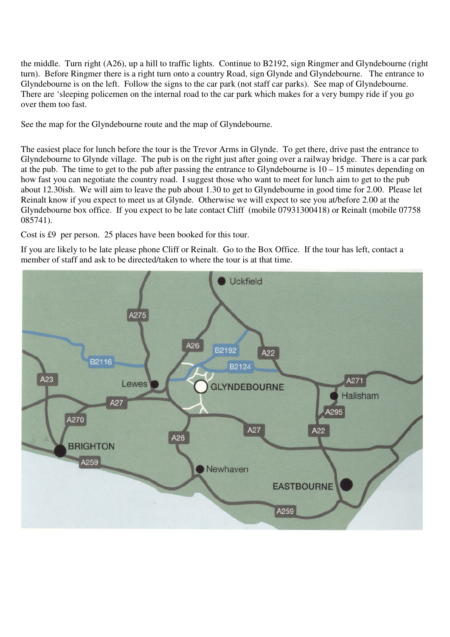the middle. Turn right (A26), up a hill to traffic lights. Continue to B2192, sign Ringmer and Glyndebourne (right turn). Before Ringmer there is a right turn onto a country Road, sign Glynde and Glyndebourne. The entrance to Glyndebourne is on the left. Follow the signs to the car park (not staff car parks). See map of Glyndebourne. There are 'sleeping policemen on the internal road to the car park which makes for a very bumpy ride if you go over them too fast.

See the map for the Glyndebourne route and the map of Glyndebourne.

The easiest place for lunch before the tour is the Trevor Arms in Glynde. To get there, drive past the entrance to Glyndebourne to Glynde village. The pub is on the right just after going over a railway bridge. There is a car park at the pub. The time to get to the pub after passing the entrance to Glyndebourne is  $10 - 15$  minutes depending on how fast you can negotiate the country road. I suggest those who want to meet for lunch aim to get to the pub about 12.30ish. We will aim to leave the pub about 1.30 to get to Glyndebourne in good time for 2.00. Please let Reinalt know if you expect to meet us at Glynde. Otherwise we will expect to see you at/before 2.00 at the Glyndebourne box office. If you expect to be late contact Cliff (mobile 07931300418) or Reinalt (mobile 07758 085741).

Cost is £9 per person. 25 places have been booked for this tour.

If you are likely to be late please phone Cliff or Reinalt. Go to the Box Office. If the tour has left, contact a member of staff and ask to be directed/taken to where the tour is at that time.